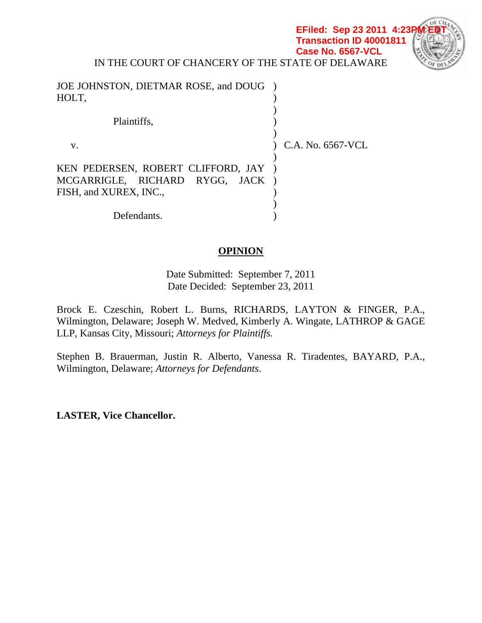**EFiled: Sep 23 2011 4:23 Transaction ID 40001811 Case No. 6567-VCL**



IN THE COURT OF CHANCERY OF THE STATE OF DELAWARE

| JOE JOHNSTON, DIETMAR ROSE, and DOUG ) |                   |
|----------------------------------------|-------------------|
| HOLT,                                  |                   |
|                                        |                   |
| Plaintiffs,                            |                   |
|                                        |                   |
| V.                                     | C.A. No. 6567-VCL |
|                                        |                   |
| KEN PEDERSEN, ROBERT CLIFFORD, JAY )   |                   |
| MCGARRIGLE, RICHARD RYGG, JACK)        |                   |
| FISH, and XUREX, INC.,                 |                   |
|                                        |                   |
| Defendants.                            |                   |

# **OPINION**

Date Submitted: September 7, 2011 Date Decided: September 23, 2011

Brock E. Czeschin, Robert L. Burns, RICHARDS, LAYTON & FINGER, P.A., Wilmington, Delaware; Joseph W. Medved, Kimberly A. Wingate, LATHROP & GAGE LLP, Kansas City, Missouri; *Attorneys for Plaintiffs.*

Stephen B. Brauerman, Justin R. Alberto, Vanessa R. Tiradentes, BAYARD, P.A., Wilmington, Delaware; *Attorneys for Defendants*.

**LASTER, Vice Chancellor.**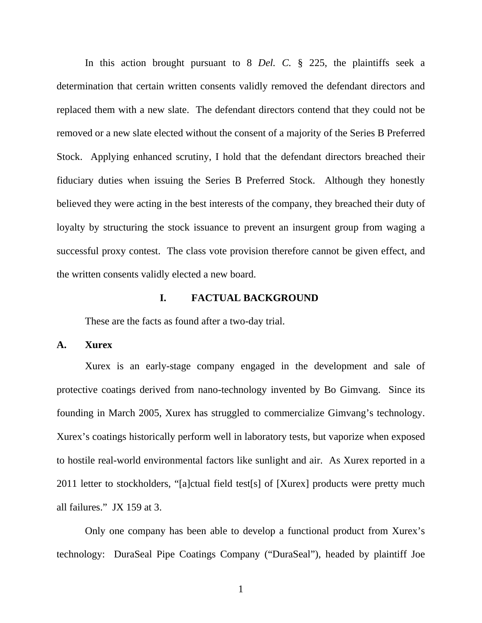In this action brought pursuant to 8 *Del. C.* § 225, the plaintiffs seek a determination that certain written consents validly removed the defendant directors and replaced them with a new slate. The defendant directors contend that they could not be removed or a new slate elected without the consent of a majority of the Series B Preferred Stock. Applying enhanced scrutiny, I hold that the defendant directors breached their fiduciary duties when issuing the Series B Preferred Stock. Although they honestly believed they were acting in the best interests of the company, they breached their duty of loyalty by structuring the stock issuance to prevent an insurgent group from waging a successful proxy contest. The class vote provision therefore cannot be given effect, and the written consents validly elected a new board.

## **I. FACTUAL BACKGROUND**

These are the facts as found after a two-day trial.

**A. Xurex** 

Xurex is an early-stage company engaged in the development and sale of protective coatings derived from nano-technology invented by Bo Gimvang. Since its founding in March 2005, Xurex has struggled to commercialize Gimvang's technology. Xurex's coatings historically perform well in laboratory tests, but vaporize when exposed to hostile real-world environmental factors like sunlight and air. As Xurex reported in a 2011 letter to stockholders, "[a]ctual field test[s] of [Xurex] products were pretty much all failures." JX 159 at 3.

Only one company has been able to develop a functional product from Xurex's technology: DuraSeal Pipe Coatings Company ("DuraSeal"), headed by plaintiff Joe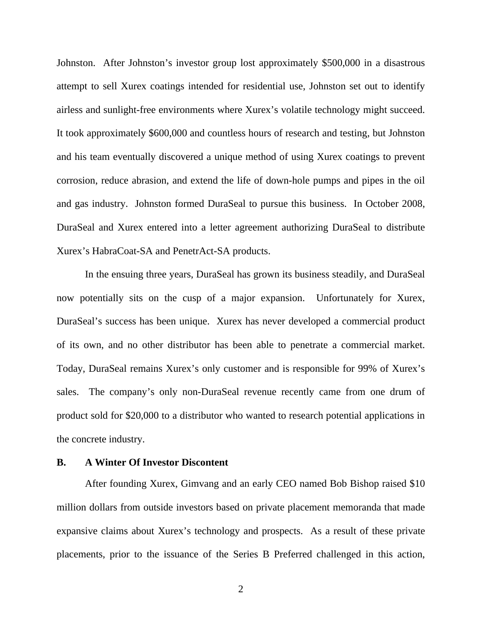Johnston. After Johnston's investor group lost approximately \$500,000 in a disastrous attempt to sell Xurex coatings intended for residential use, Johnston set out to identify airless and sunlight-free environments where Xurex's volatile technology might succeed. It took approximately \$600,000 and countless hours of research and testing, but Johnston and his team eventually discovered a unique method of using Xurex coatings to prevent corrosion, reduce abrasion, and extend the life of down-hole pumps and pipes in the oil and gas industry. Johnston formed DuraSeal to pursue this business. In October 2008, DuraSeal and Xurex entered into a letter agreement authorizing DuraSeal to distribute Xurex's HabraCoat-SA and PenetrAct-SA products.

In the ensuing three years, DuraSeal has grown its business steadily, and DuraSeal now potentially sits on the cusp of a major expansion. Unfortunately for Xurex, DuraSeal's success has been unique. Xurex has never developed a commercial product of its own, and no other distributor has been able to penetrate a commercial market. Today, DuraSeal remains Xurex's only customer and is responsible for 99% of Xurex's sales. The company's only non-DuraSeal revenue recently came from one drum of product sold for \$20,000 to a distributor who wanted to research potential applications in the concrete industry.

## **B. A Winter Of Investor Discontent**

After founding Xurex, Gimvang and an early CEO named Bob Bishop raised \$10 million dollars from outside investors based on private placement memoranda that made expansive claims about Xurex's technology and prospects. As a result of these private placements, prior to the issuance of the Series B Preferred challenged in this action,

2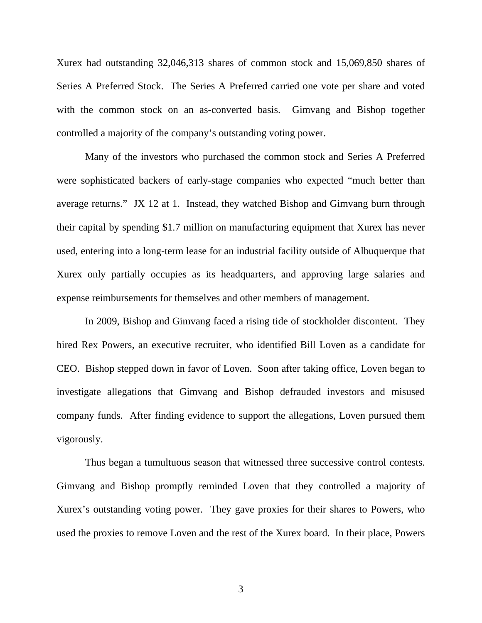Xurex had outstanding 32,046,313 shares of common stock and 15,069,850 shares of Series A Preferred Stock. The Series A Preferred carried one vote per share and voted with the common stock on an as-converted basis. Gimvang and Bishop together controlled a majority of the company's outstanding voting power.

Many of the investors who purchased the common stock and Series A Preferred were sophisticated backers of early-stage companies who expected "much better than average returns." JX 12 at 1. Instead, they watched Bishop and Gimvang burn through their capital by spending \$1.7 million on manufacturing equipment that Xurex has never used, entering into a long-term lease for an industrial facility outside of Albuquerque that Xurex only partially occupies as its headquarters, and approving large salaries and expense reimbursements for themselves and other members of management.

In 2009, Bishop and Gimvang faced a rising tide of stockholder discontent. They hired Rex Powers, an executive recruiter, who identified Bill Loven as a candidate for CEO. Bishop stepped down in favor of Loven. Soon after taking office, Loven began to investigate allegations that Gimvang and Bishop defrauded investors and misused company funds. After finding evidence to support the allegations, Loven pursued them vigorously.

Thus began a tumultuous season that witnessed three successive control contests. Gimvang and Bishop promptly reminded Loven that they controlled a majority of Xurex's outstanding voting power. They gave proxies for their shares to Powers, who used the proxies to remove Loven and the rest of the Xurex board. In their place, Powers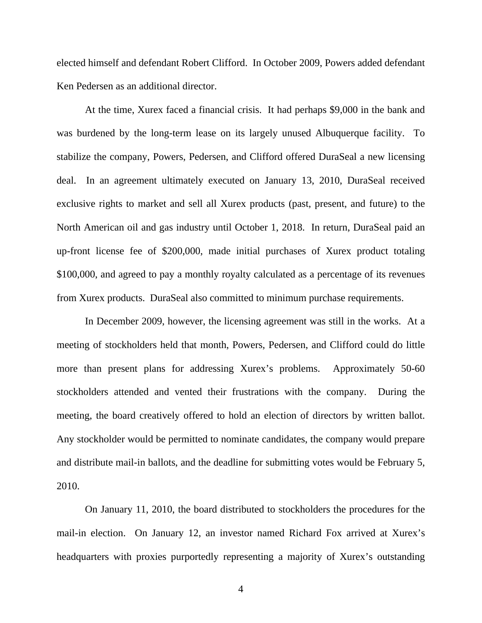elected himself and defendant Robert Clifford. In October 2009, Powers added defendant Ken Pedersen as an additional director.

At the time, Xurex faced a financial crisis. It had perhaps \$9,000 in the bank and was burdened by the long-term lease on its largely unused Albuquerque facility. To stabilize the company, Powers, Pedersen, and Clifford offered DuraSeal a new licensing deal. In an agreement ultimately executed on January 13, 2010, DuraSeal received exclusive rights to market and sell all Xurex products (past, present, and future) to the North American oil and gas industry until October 1, 2018. In return, DuraSeal paid an up-front license fee of \$200,000, made initial purchases of Xurex product totaling \$100,000, and agreed to pay a monthly royalty calculated as a percentage of its revenues from Xurex products. DuraSeal also committed to minimum purchase requirements.

In December 2009, however, the licensing agreement was still in the works. At a meeting of stockholders held that month, Powers, Pedersen, and Clifford could do little more than present plans for addressing Xurex's problems. Approximately 50-60 stockholders attended and vented their frustrations with the company. During the meeting, the board creatively offered to hold an election of directors by written ballot. Any stockholder would be permitted to nominate candidates, the company would prepare and distribute mail-in ballots, and the deadline for submitting votes would be February 5, 2010.

On January 11, 2010, the board distributed to stockholders the procedures for the mail-in election. On January 12, an investor named Richard Fox arrived at Xurex's headquarters with proxies purportedly representing a majority of Xurex's outstanding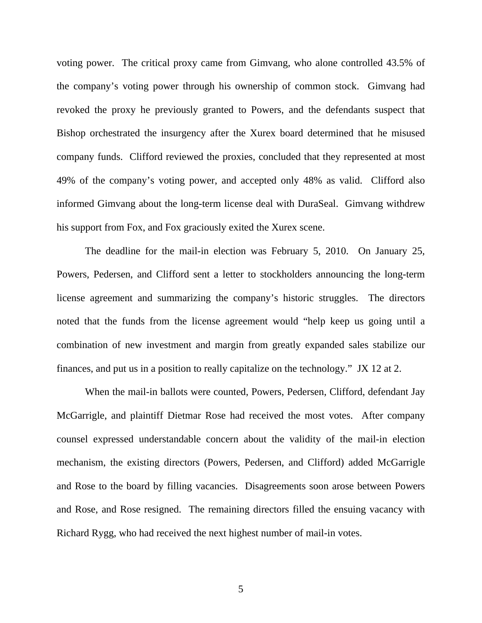voting power. The critical proxy came from Gimvang, who alone controlled 43.5% of the company's voting power through his ownership of common stock. Gimvang had revoked the proxy he previously granted to Powers, and the defendants suspect that Bishop orchestrated the insurgency after the Xurex board determined that he misused company funds. Clifford reviewed the proxies, concluded that they represented at most 49% of the company's voting power, and accepted only 48% as valid. Clifford also informed Gimvang about the long-term license deal with DuraSeal. Gimvang withdrew his support from Fox, and Fox graciously exited the Xurex scene.

The deadline for the mail-in election was February 5, 2010. On January 25, Powers, Pedersen, and Clifford sent a letter to stockholders announcing the long-term license agreement and summarizing the company's historic struggles. The directors noted that the funds from the license agreement would "help keep us going until a combination of new investment and margin from greatly expanded sales stabilize our finances, and put us in a position to really capitalize on the technology." JX 12 at 2.

When the mail-in ballots were counted, Powers, Pedersen, Clifford, defendant Jay McGarrigle, and plaintiff Dietmar Rose had received the most votes. After company counsel expressed understandable concern about the validity of the mail-in election mechanism, the existing directors (Powers, Pedersen, and Clifford) added McGarrigle and Rose to the board by filling vacancies. Disagreements soon arose between Powers and Rose, and Rose resigned. The remaining directors filled the ensuing vacancy with Richard Rygg, who had received the next highest number of mail-in votes.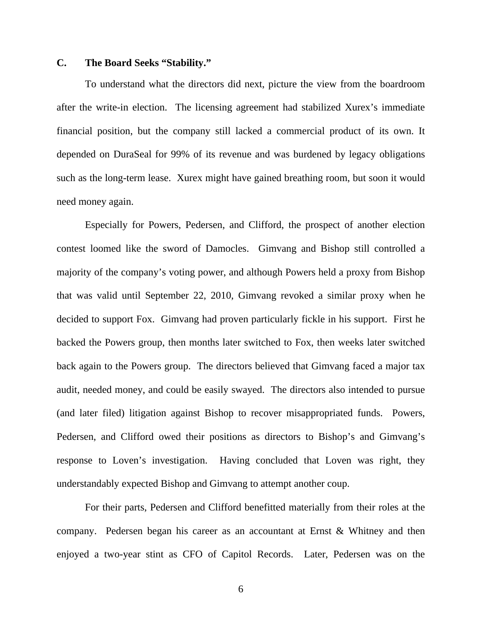# **C. The Board Seeks "Stability."**

To understand what the directors did next, picture the view from the boardroom after the write-in election. The licensing agreement had stabilized Xurex's immediate financial position, but the company still lacked a commercial product of its own. It depended on DuraSeal for 99% of its revenue and was burdened by legacy obligations such as the long-term lease. Xurex might have gained breathing room, but soon it would need money again.

Especially for Powers, Pedersen, and Clifford, the prospect of another election contest loomed like the sword of Damocles. Gimvang and Bishop still controlled a majority of the company's voting power, and although Powers held a proxy from Bishop that was valid until September 22, 2010, Gimvang revoked a similar proxy when he decided to support Fox. Gimvang had proven particularly fickle in his support. First he backed the Powers group, then months later switched to Fox, then weeks later switched back again to the Powers group. The directors believed that Gimvang faced a major tax audit, needed money, and could be easily swayed. The directors also intended to pursue (and later filed) litigation against Bishop to recover misappropriated funds. Powers, Pedersen, and Clifford owed their positions as directors to Bishop's and Gimvang's response to Loven's investigation. Having concluded that Loven was right, they understandably expected Bishop and Gimvang to attempt another coup.

For their parts, Pedersen and Clifford benefitted materially from their roles at the company. Pedersen began his career as an accountant at Ernst & Whitney and then enjoyed a two-year stint as CFO of Capitol Records. Later, Pedersen was on the

6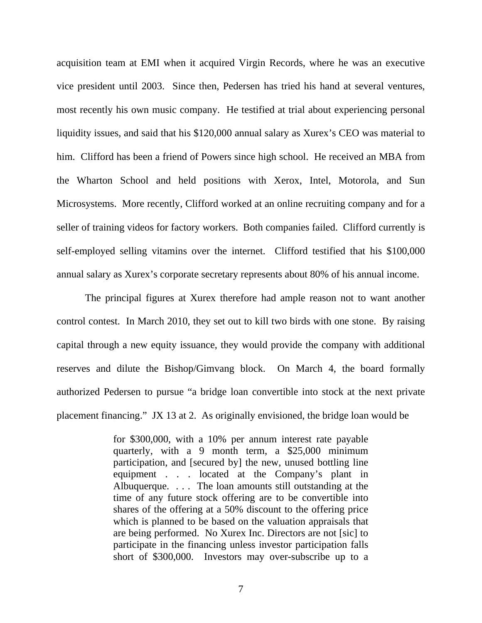acquisition team at EMI when it acquired Virgin Records, where he was an executive vice president until 2003. Since then, Pedersen has tried his hand at several ventures, most recently his own music company. He testified at trial about experiencing personal liquidity issues, and said that his \$120,000 annual salary as Xurex's CEO was material to him. Clifford has been a friend of Powers since high school. He received an MBA from the Wharton School and held positions with Xerox, Intel, Motorola, and Sun Microsystems. More recently, Clifford worked at an online recruiting company and for a seller of training videos for factory workers. Both companies failed. Clifford currently is self-employed selling vitamins over the internet. Clifford testified that his \$100,000 annual salary as Xurex's corporate secretary represents about 80% of his annual income.

The principal figures at Xurex therefore had ample reason not to want another control contest. In March 2010, they set out to kill two birds with one stone. By raising capital through a new equity issuance, they would provide the company with additional reserves and dilute the Bishop/Gimvang block. On March 4, the board formally authorized Pedersen to pursue "a bridge loan convertible into stock at the next private placement financing." JX 13 at 2. As originally envisioned, the bridge loan would be

> for \$300,000, with a 10% per annum interest rate payable quarterly, with a 9 month term, a \$25,000 minimum participation, and [secured by] the new, unused bottling line equipment . . . located at the Company's plant in Albuquerque. . . . The loan amounts still outstanding at the time of any future stock offering are to be convertible into shares of the offering at a 50% discount to the offering price which is planned to be based on the valuation appraisals that are being performed. No Xurex Inc. Directors are not [sic] to participate in the financing unless investor participation falls short of \$300,000. Investors may over-subscribe up to a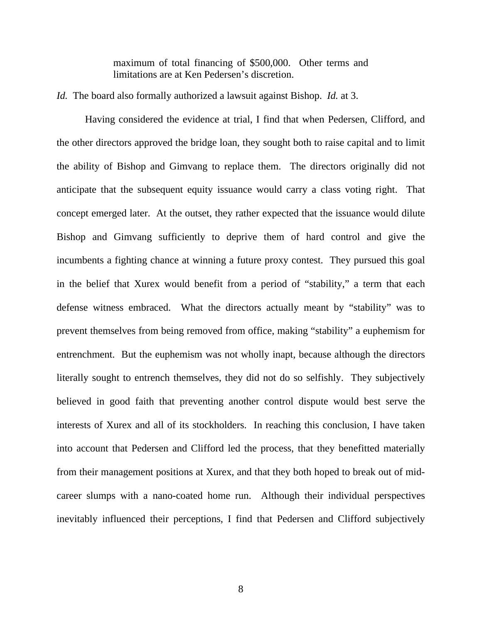maximum of total financing of \$500,000. Other terms and limitations are at Ken Pedersen's discretion.

*Id.* The board also formally authorized a lawsuit against Bishop. *Id.* at 3.

Having considered the evidence at trial, I find that when Pedersen, Clifford, and the other directors approved the bridge loan, they sought both to raise capital and to limit the ability of Bishop and Gimvang to replace them. The directors originally did not anticipate that the subsequent equity issuance would carry a class voting right. That concept emerged later. At the outset, they rather expected that the issuance would dilute Bishop and Gimvang sufficiently to deprive them of hard control and give the incumbents a fighting chance at winning a future proxy contest. They pursued this goal in the belief that Xurex would benefit from a period of "stability," a term that each defense witness embraced. What the directors actually meant by "stability" was to prevent themselves from being removed from office, making "stability" a euphemism for entrenchment. But the euphemism was not wholly inapt, because although the directors literally sought to entrench themselves, they did not do so selfishly. They subjectively believed in good faith that preventing another control dispute would best serve the interests of Xurex and all of its stockholders. In reaching this conclusion, I have taken into account that Pedersen and Clifford led the process, that they benefitted materially from their management positions at Xurex, and that they both hoped to break out of midcareer slumps with a nano-coated home run. Although their individual perspectives inevitably influenced their perceptions, I find that Pedersen and Clifford subjectively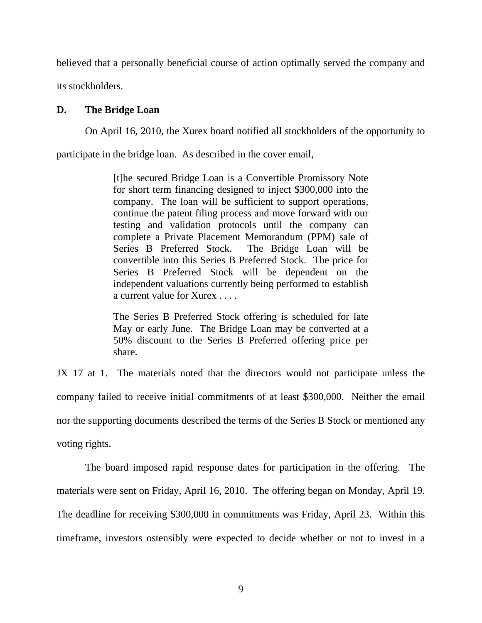believed that a personally beneficial course of action optimally served the company and

its stockholders.

## **D. The Bridge Loan**

On April 16, 2010, the Xurex board notified all stockholders of the opportunity to

participate in the bridge loan. As described in the cover email,

[t]he secured Bridge Loan is a Convertible Promissory Note for short term financing designed to inject \$300,000 into the company. The loan will be sufficient to support operations, continue the patent filing process and move forward with our testing and validation protocols until the company can complete a Private Placement Memorandum (PPM) sale of Series B Preferred Stock. The Bridge Loan will be convertible into this Series B Preferred Stock. The price for Series B Preferred Stock will be dependent on the independent valuations currently being performed to establish a current value for Xurex . . . .

The Series B Preferred Stock offering is scheduled for late May or early June. The Bridge Loan may be converted at a 50% discount to the Series B Preferred offering price per share.

JX 17 at 1. The materials noted that the directors would not participate unless the company failed to receive initial commitments of at least \$300,000. Neither the email nor the supporting documents described the terms of the Series B Stock or mentioned any voting rights.

The board imposed rapid response dates for participation in the offering. The materials were sent on Friday, April 16, 2010. The offering began on Monday, April 19. The deadline for receiving \$300,000 in commitments was Friday, April 23. Within this timeframe, investors ostensibly were expected to decide whether or not to invest in a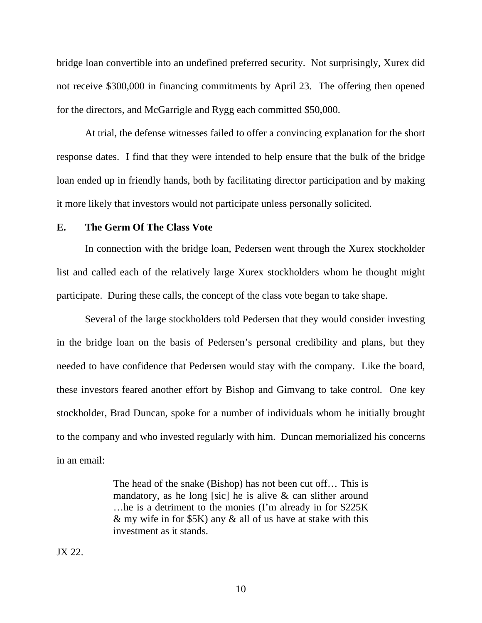bridge loan convertible into an undefined preferred security. Not surprisingly, Xurex did not receive \$300,000 in financing commitments by April 23. The offering then opened for the directors, and McGarrigle and Rygg each committed \$50,000.

At trial, the defense witnesses failed to offer a convincing explanation for the short response dates. I find that they were intended to help ensure that the bulk of the bridge loan ended up in friendly hands, both by facilitating director participation and by making it more likely that investors would not participate unless personally solicited.

#### **E. The Germ Of The Class Vote**

In connection with the bridge loan, Pedersen went through the Xurex stockholder list and called each of the relatively large Xurex stockholders whom he thought might participate. During these calls, the concept of the class vote began to take shape.

Several of the large stockholders told Pedersen that they would consider investing in the bridge loan on the basis of Pedersen's personal credibility and plans, but they needed to have confidence that Pedersen would stay with the company. Like the board, these investors feared another effort by Bishop and Gimvang to take control. One key stockholder, Brad Duncan, spoke for a number of individuals whom he initially brought to the company and who invested regularly with him. Duncan memorialized his concerns in an email:

> The head of the snake (Bishop) has not been cut off… This is mandatory, as he long [sic] he is alive  $\&$  can slither around …he is a detriment to the monies (I'm already in for \$225K & my wife in for \$5K) any & all of us have at stake with this investment as it stands.

JX 22.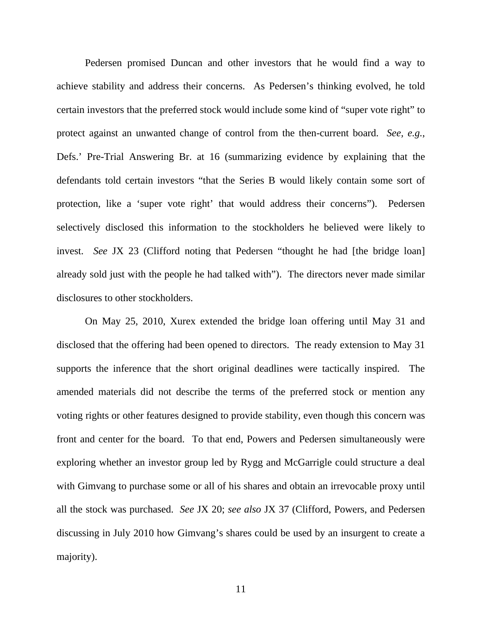Pedersen promised Duncan and other investors that he would find a way to achieve stability and address their concerns. As Pedersen's thinking evolved, he told certain investors that the preferred stock would include some kind of "super vote right" to protect against an unwanted change of control from the then-current board. *See, e.g.*, Defs.' Pre-Trial Answering Br. at 16 (summarizing evidence by explaining that the defendants told certain investors "that the Series B would likely contain some sort of protection, like a 'super vote right' that would address their concerns"). Pedersen selectively disclosed this information to the stockholders he believed were likely to invest. *See* JX 23 (Clifford noting that Pedersen "thought he had [the bridge loan] already sold just with the people he had talked with"). The directors never made similar disclosures to other stockholders.

On May 25, 2010, Xurex extended the bridge loan offering until May 31 and disclosed that the offering had been opened to directors. The ready extension to May 31 supports the inference that the short original deadlines were tactically inspired. The amended materials did not describe the terms of the preferred stock or mention any voting rights or other features designed to provide stability, even though this concern was front and center for the board. To that end, Powers and Pedersen simultaneously were exploring whether an investor group led by Rygg and McGarrigle could structure a deal with Gimvang to purchase some or all of his shares and obtain an irrevocable proxy until all the stock was purchased. *See* JX 20; *see also* JX 37 (Clifford, Powers, and Pedersen discussing in July 2010 how Gimvang's shares could be used by an insurgent to create a majority).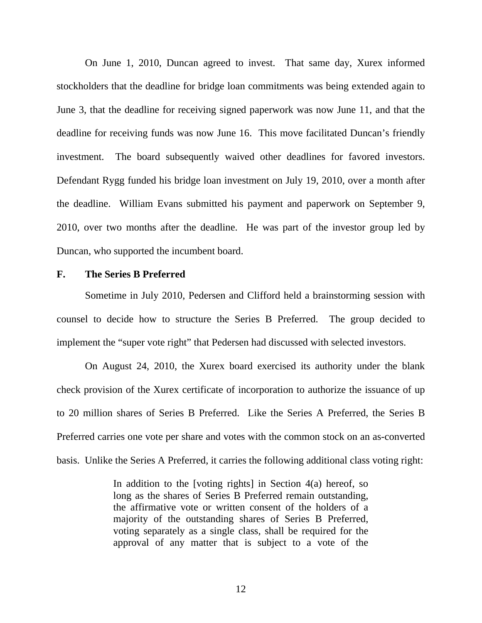On June 1, 2010, Duncan agreed to invest. That same day, Xurex informed stockholders that the deadline for bridge loan commitments was being extended again to June 3, that the deadline for receiving signed paperwork was now June 11, and that the deadline for receiving funds was now June 16. This move facilitated Duncan's friendly investment. The board subsequently waived other deadlines for favored investors. Defendant Rygg funded his bridge loan investment on July 19, 2010, over a month after the deadline. William Evans submitted his payment and paperwork on September 9, 2010, over two months after the deadline. He was part of the investor group led by Duncan, who supported the incumbent board.

# **F. The Series B Preferred**

Sometime in July 2010, Pedersen and Clifford held a brainstorming session with counsel to decide how to structure the Series B Preferred. The group decided to implement the "super vote right" that Pedersen had discussed with selected investors.

On August 24, 2010, the Xurex board exercised its authority under the blank check provision of the Xurex certificate of incorporation to authorize the issuance of up to 20 million shares of Series B Preferred. Like the Series A Preferred, the Series B Preferred carries one vote per share and votes with the common stock on an as-converted basis. Unlike the Series A Preferred, it carries the following additional class voting right:

> In addition to the [voting rights] in Section  $4(a)$  hereof, so long as the shares of Series B Preferred remain outstanding, the affirmative vote or written consent of the holders of a majority of the outstanding shares of Series B Preferred, voting separately as a single class, shall be required for the approval of any matter that is subject to a vote of the

> > 12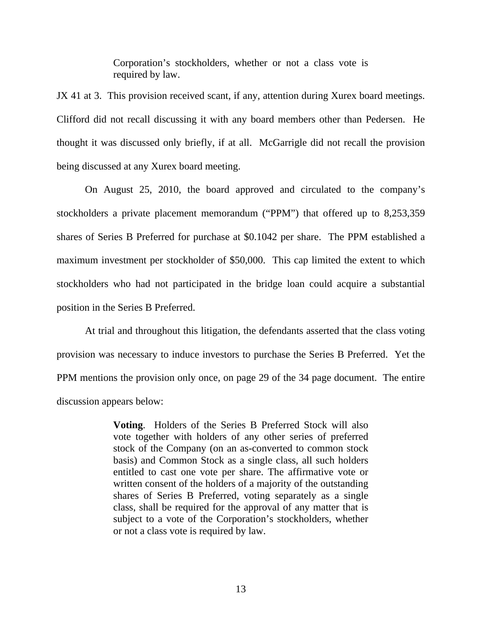Corporation's stockholders, whether or not a class vote is required by law.

JX 41 at 3. This provision received scant, if any, attention during Xurex board meetings. Clifford did not recall discussing it with any board members other than Pedersen. He thought it was discussed only briefly, if at all. McGarrigle did not recall the provision being discussed at any Xurex board meeting.

On August 25, 2010, the board approved and circulated to the company's stockholders a private placement memorandum ("PPM") that offered up to 8,253,359 shares of Series B Preferred for purchase at \$0.1042 per share. The PPM established a maximum investment per stockholder of \$50,000. This cap limited the extent to which stockholders who had not participated in the bridge loan could acquire a substantial position in the Series B Preferred.

At trial and throughout this litigation, the defendants asserted that the class voting provision was necessary to induce investors to purchase the Series B Preferred. Yet the PPM mentions the provision only once, on page 29 of the 34 page document. The entire discussion appears below:

> **Voting**. Holders of the Series B Preferred Stock will also vote together with holders of any other series of preferred stock of the Company (on an as-converted to common stock basis) and Common Stock as a single class, all such holders entitled to cast one vote per share. The affirmative vote or written consent of the holders of a majority of the outstanding shares of Series B Preferred, voting separately as a single class, shall be required for the approval of any matter that is subject to a vote of the Corporation's stockholders, whether or not a class vote is required by law.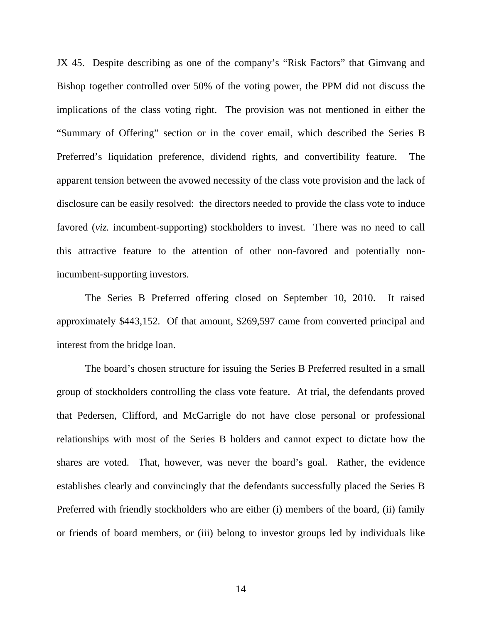JX 45. Despite describing as one of the company's "Risk Factors" that Gimvang and Bishop together controlled over 50% of the voting power, the PPM did not discuss the implications of the class voting right. The provision was not mentioned in either the "Summary of Offering" section or in the cover email, which described the Series B Preferred's liquidation preference, dividend rights, and convertibility feature. The apparent tension between the avowed necessity of the class vote provision and the lack of disclosure can be easily resolved: the directors needed to provide the class vote to induce favored (*viz.* incumbent-supporting) stockholders to invest. There was no need to call this attractive feature to the attention of other non-favored and potentially nonincumbent-supporting investors.

The Series B Preferred offering closed on September 10, 2010. It raised approximately \$443,152. Of that amount, \$269,597 came from converted principal and interest from the bridge loan.

The board's chosen structure for issuing the Series B Preferred resulted in a small group of stockholders controlling the class vote feature. At trial, the defendants proved that Pedersen, Clifford, and McGarrigle do not have close personal or professional relationships with most of the Series B holders and cannot expect to dictate how the shares are voted. That, however, was never the board's goal. Rather, the evidence establishes clearly and convincingly that the defendants successfully placed the Series B Preferred with friendly stockholders who are either (i) members of the board, (ii) family or friends of board members, or (iii) belong to investor groups led by individuals like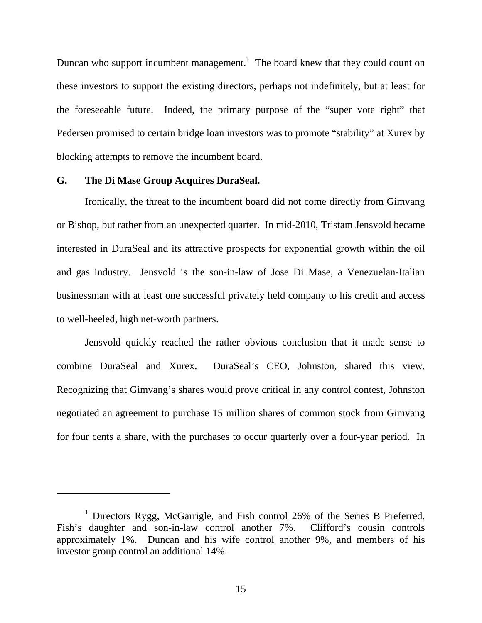Duncan who support incumbent management.<sup>1</sup> The board knew that they could count on these investors to support the existing directors, perhaps not indefinitely, but at least for the foreseeable future. Indeed, the primary purpose of the "super vote right" that Pedersen promised to certain bridge loan investors was to promote "stability" at Xurex by blocking attempts to remove the incumbent board.

## **G. The Di Mase Group Acquires DuraSeal.**

 $\overline{a}$ 

Ironically, the threat to the incumbent board did not come directly from Gimvang or Bishop, but rather from an unexpected quarter. In mid-2010, Tristam Jensvold became interested in DuraSeal and its attractive prospects for exponential growth within the oil and gas industry. Jensvold is the son-in-law of Jose Di Mase, a Venezuelan-Italian businessman with at least one successful privately held company to his credit and access to well-heeled, high net-worth partners.

Jensvold quickly reached the rather obvious conclusion that it made sense to combine DuraSeal and Xurex. DuraSeal's CEO, Johnston, shared this view. Recognizing that Gimvang's shares would prove critical in any control contest, Johnston negotiated an agreement to purchase 15 million shares of common stock from Gimvang for four cents a share, with the purchases to occur quarterly over a four-year period. In

<sup>&</sup>lt;sup>1</sup> Directors Rygg, McGarrigle, and Fish control 26% of the Series B Preferred. Fish's daughter and son-in-law control another 7%. Clifford's cousin controls approximately 1%. Duncan and his wife control another 9%, and members of his investor group control an additional 14%.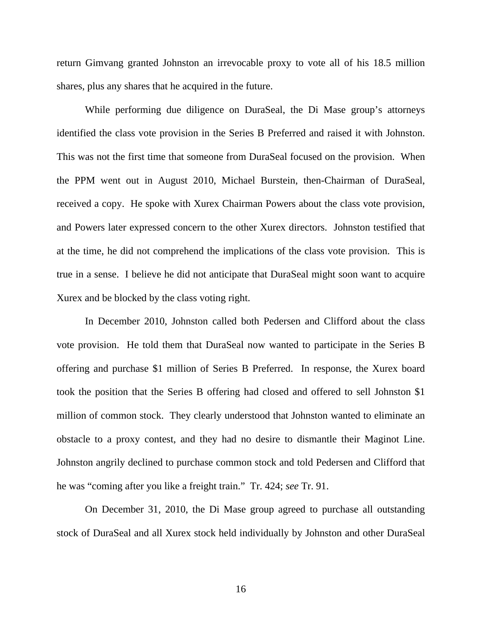return Gimvang granted Johnston an irrevocable proxy to vote all of his 18.5 million shares, plus any shares that he acquired in the future.

While performing due diligence on DuraSeal, the Di Mase group's attorneys identified the class vote provision in the Series B Preferred and raised it with Johnston. This was not the first time that someone from DuraSeal focused on the provision. When the PPM went out in August 2010, Michael Burstein, then-Chairman of DuraSeal, received a copy. He spoke with Xurex Chairman Powers about the class vote provision, and Powers later expressed concern to the other Xurex directors. Johnston testified that at the time, he did not comprehend the implications of the class vote provision. This is true in a sense. I believe he did not anticipate that DuraSeal might soon want to acquire Xurex and be blocked by the class voting right.

In December 2010, Johnston called both Pedersen and Clifford about the class vote provision. He told them that DuraSeal now wanted to participate in the Series B offering and purchase \$1 million of Series B Preferred. In response, the Xurex board took the position that the Series B offering had closed and offered to sell Johnston \$1 million of common stock. They clearly understood that Johnston wanted to eliminate an obstacle to a proxy contest, and they had no desire to dismantle their Maginot Line. Johnston angrily declined to purchase common stock and told Pedersen and Clifford that he was "coming after you like a freight train." Tr. 424; *see* Tr. 91.

On December 31, 2010, the Di Mase group agreed to purchase all outstanding stock of DuraSeal and all Xurex stock held individually by Johnston and other DuraSeal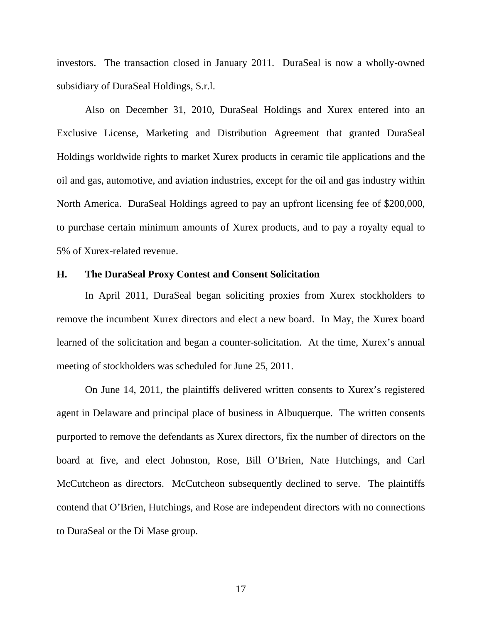investors. The transaction closed in January 2011. DuraSeal is now a wholly-owned subsidiary of DuraSeal Holdings, S.r.l.

Also on December 31, 2010, DuraSeal Holdings and Xurex entered into an Exclusive License, Marketing and Distribution Agreement that granted DuraSeal Holdings worldwide rights to market Xurex products in ceramic tile applications and the oil and gas, automotive, and aviation industries, except for the oil and gas industry within North America. DuraSeal Holdings agreed to pay an upfront licensing fee of \$200,000, to purchase certain minimum amounts of Xurex products, and to pay a royalty equal to 5% of Xurex-related revenue.

### **H. The DuraSeal Proxy Contest and Consent Solicitation**

In April 2011, DuraSeal began soliciting proxies from Xurex stockholders to remove the incumbent Xurex directors and elect a new board. In May, the Xurex board learned of the solicitation and began a counter-solicitation. At the time, Xurex's annual meeting of stockholders was scheduled for June 25, 2011.

On June 14, 2011, the plaintiffs delivered written consents to Xurex's registered agent in Delaware and principal place of business in Albuquerque. The written consents purported to remove the defendants as Xurex directors, fix the number of directors on the board at five, and elect Johnston, Rose, Bill O'Brien, Nate Hutchings, and Carl McCutcheon as directors. McCutcheon subsequently declined to serve. The plaintiffs contend that O'Brien, Hutchings, and Rose are independent directors with no connections to DuraSeal or the Di Mase group.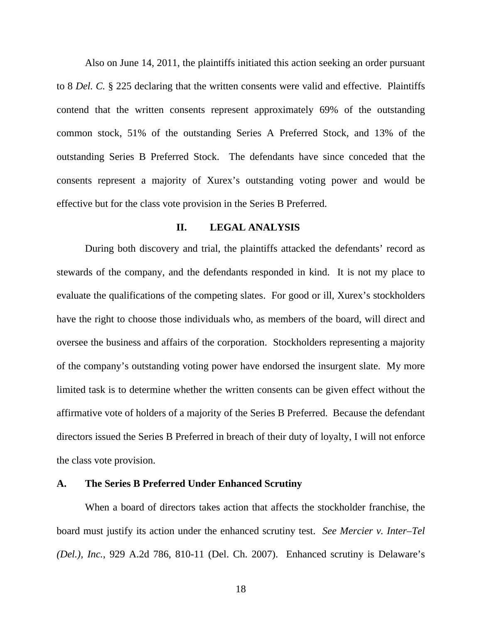Also on June 14, 2011, the plaintiffs initiated this action seeking an order pursuant to 8 *Del. C.* § 225 declaring that the written consents were valid and effective. Plaintiffs contend that the written consents represent approximately 69% of the outstanding common stock, 51% of the outstanding Series A Preferred Stock, and 13% of the outstanding Series B Preferred Stock. The defendants have since conceded that the consents represent a majority of Xurex's outstanding voting power and would be effective but for the class vote provision in the Series B Preferred.

#### **II. LEGAL ANALYSIS**

During both discovery and trial, the plaintiffs attacked the defendants' record as stewards of the company, and the defendants responded in kind. It is not my place to evaluate the qualifications of the competing slates. For good or ill, Xurex's stockholders have the right to choose those individuals who, as members of the board, will direct and oversee the business and affairs of the corporation. Stockholders representing a majority of the company's outstanding voting power have endorsed the insurgent slate. My more limited task is to determine whether the written consents can be given effect without the affirmative vote of holders of a majority of the Series B Preferred. Because the defendant directors issued the Series B Preferred in breach of their duty of loyalty, I will not enforce the class vote provision.

#### **A. The Series B Preferred Under Enhanced Scrutiny**

When a board of directors takes action that affects the stockholder franchise, the board must justify its action under the enhanced scrutiny test. *See Mercier v. Inter–Tel (Del.), Inc.*, 929 A.2d 786, 810-11 (Del. Ch. 2007). Enhanced scrutiny is Delaware's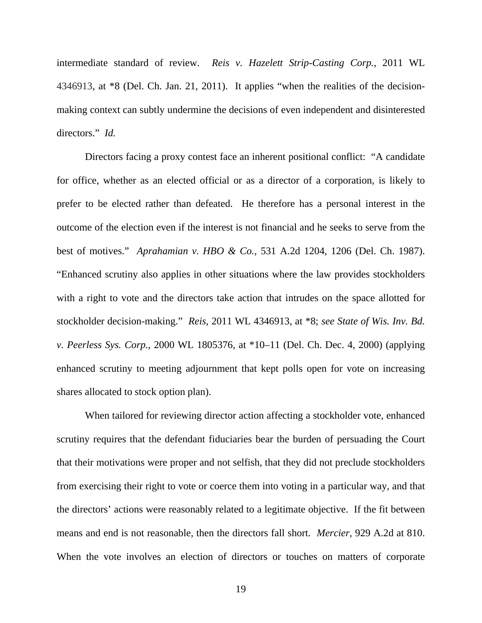intermediate standard of review. *Reis v. Hazelett Strip-Casting Corp.*, 2011 WL 4346913, at \*8 (Del. Ch. Jan. 21, 2011). It applies "when the realities of the decisionmaking context can subtly undermine the decisions of even independent and disinterested directors." *Id.* 

Directors facing a proxy contest face an inherent positional conflict: "A candidate for office, whether as an elected official or as a director of a corporation, is likely to prefer to be elected rather than defeated. He therefore has a personal interest in the outcome of the election even if the interest is not financial and he seeks to serve from the best of motives." *Aprahamian v. HBO & Co.*, 531 A.2d 1204, 1206 (Del. Ch. 1987). "Enhanced scrutiny also applies in other situations where the law provides stockholders with a right to vote and the directors take action that intrudes on the space allotted for stockholder decision-making." *Reis*, 2011 WL 4346913, at \*8; *see State of Wis. Inv. Bd. v. Peerless Sys. Corp.*, 2000 WL 1805376, at \*10–11 (Del. Ch. Dec. 4, 2000) (applying enhanced scrutiny to meeting adjournment that kept polls open for vote on increasing shares allocated to stock option plan).

When tailored for reviewing director action affecting a stockholder vote, enhanced scrutiny requires that the defendant fiduciaries bear the burden of persuading the Court that their motivations were proper and not selfish, that they did not preclude stockholders from exercising their right to vote or coerce them into voting in a particular way, and that the directors' actions were reasonably related to a legitimate objective. If the fit between means and end is not reasonable, then the directors fall short. *Mercier*, 929 A.2d at 810. When the vote involves an election of directors or touches on matters of corporate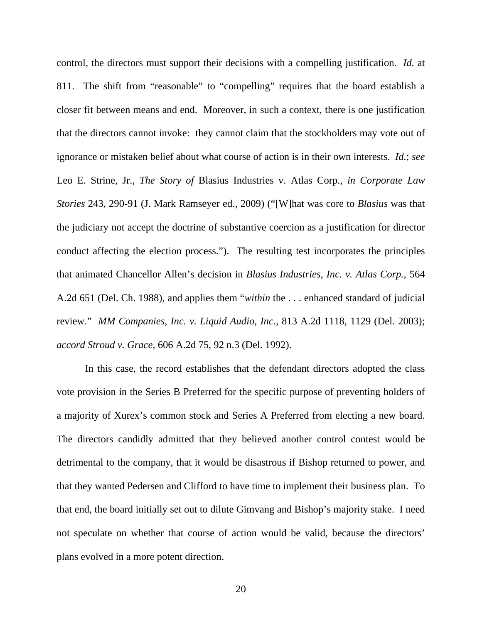control, the directors must support their decisions with a compelling justification. *Id.* at 811. The shift from "reasonable" to "compelling" requires that the board establish a closer fit between means and end. Moreover, in such a context, there is one justification that the directors cannot invoke: they cannot claim that the stockholders may vote out of ignorance or mistaken belief about what course of action is in their own interests. *Id.*; *see*  Leo E. Strine, Jr., *The Story of* Blasius Industries v. Atlas Corp., *in Corporate Law Stories* 243, 290-91 (J. Mark Ramseyer ed., 2009) ("[W]hat was core to *Blasius* was that the judiciary not accept the doctrine of substantive coercion as a justification for director conduct affecting the election process.").The resulting test incorporates the principles that animated Chancellor Allen's decision in *Blasius Industries, Inc. v. Atlas Corp.*, 564 A.2d 651 (Del. Ch. 1988), and applies them "*within* the . . . enhanced standard of judicial review." *MM Companies, Inc. v. Liquid Audio, Inc.*, 813 A.2d 1118, 1129 (Del. 2003); *accord Stroud v. Grace*, 606 A.2d 75, 92 n.3 (Del. 1992).

In this case, the record establishes that the defendant directors adopted the class vote provision in the Series B Preferred for the specific purpose of preventing holders of a majority of Xurex's common stock and Series A Preferred from electing a new board. The directors candidly admitted that they believed another control contest would be detrimental to the company, that it would be disastrous if Bishop returned to power, and that they wanted Pedersen and Clifford to have time to implement their business plan. To that end, the board initially set out to dilute Gimvang and Bishop's majority stake. I need not speculate on whether that course of action would be valid, because the directors' plans evolved in a more potent direction.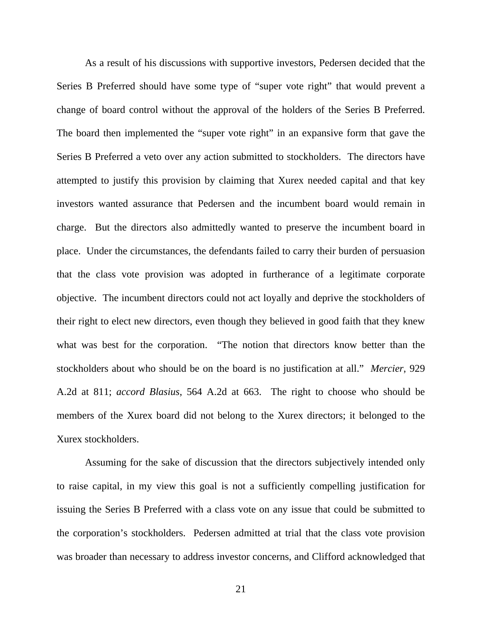As a result of his discussions with supportive investors, Pedersen decided that the Series B Preferred should have some type of "super vote right" that would prevent a change of board control without the approval of the holders of the Series B Preferred. The board then implemented the "super vote right" in an expansive form that gave the Series B Preferred a veto over any action submitted to stockholders. The directors have attempted to justify this provision by claiming that Xurex needed capital and that key investors wanted assurance that Pedersen and the incumbent board would remain in charge. But the directors also admittedly wanted to preserve the incumbent board in place. Under the circumstances, the defendants failed to carry their burden of persuasion that the class vote provision was adopted in furtherance of a legitimate corporate objective. The incumbent directors could not act loyally and deprive the stockholders of their right to elect new directors, even though they believed in good faith that they knew what was best for the corporation. "The notion that directors know better than the stockholders about who should be on the board is no justification at all." *Mercier*, 929 A.2d at 811; *accord Blasius*, 564 A.2d at 663. The right to choose who should be members of the Xurex board did not belong to the Xurex directors; it belonged to the Xurex stockholders.

Assuming for the sake of discussion that the directors subjectively intended only to raise capital, in my view this goal is not a sufficiently compelling justification for issuing the Series B Preferred with a class vote on any issue that could be submitted to the corporation's stockholders. Pedersen admitted at trial that the class vote provision was broader than necessary to address investor concerns, and Clifford acknowledged that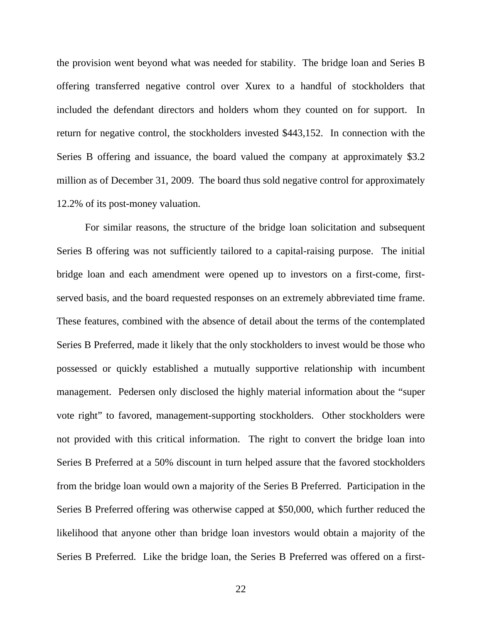the provision went beyond what was needed for stability. The bridge loan and Series B offering transferred negative control over Xurex to a handful of stockholders that included the defendant directors and holders whom they counted on for support. In return for negative control, the stockholders invested \$443,152. In connection with the Series B offering and issuance, the board valued the company at approximately \$3.2 million as of December 31, 2009. The board thus sold negative control for approximately 12.2% of its post-money valuation.

For similar reasons, the structure of the bridge loan solicitation and subsequent Series B offering was not sufficiently tailored to a capital-raising purpose. The initial bridge loan and each amendment were opened up to investors on a first-come, firstserved basis, and the board requested responses on an extremely abbreviated time frame. These features, combined with the absence of detail about the terms of the contemplated Series B Preferred, made it likely that the only stockholders to invest would be those who possessed or quickly established a mutually supportive relationship with incumbent management. Pedersen only disclosed the highly material information about the "super vote right" to favored, management-supporting stockholders. Other stockholders were not provided with this critical information. The right to convert the bridge loan into Series B Preferred at a 50% discount in turn helped assure that the favored stockholders from the bridge loan would own a majority of the Series B Preferred. Participation in the Series B Preferred offering was otherwise capped at \$50,000, which further reduced the likelihood that anyone other than bridge loan investors would obtain a majority of the Series B Preferred. Like the bridge loan, the Series B Preferred was offered on a first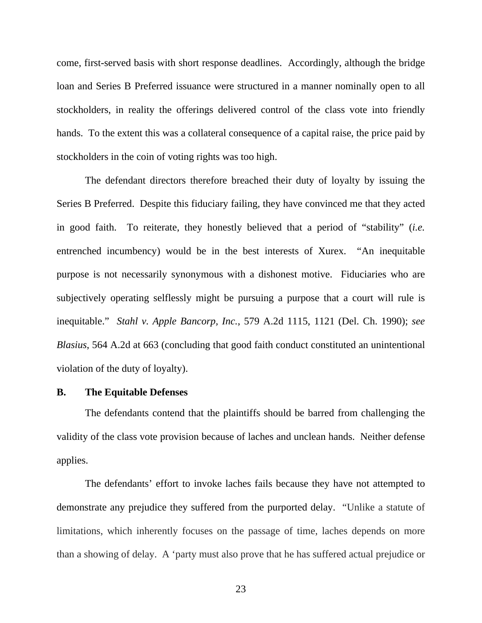come, first-served basis with short response deadlines. Accordingly, although the bridge loan and Series B Preferred issuance were structured in a manner nominally open to all stockholders, in reality the offerings delivered control of the class vote into friendly hands. To the extent this was a collateral consequence of a capital raise, the price paid by stockholders in the coin of voting rights was too high.

The defendant directors therefore breached their duty of loyalty by issuing the Series B Preferred. Despite this fiduciary failing, they have convinced me that they acted in good faith. To reiterate, they honestly believed that a period of "stability" (*i.e.*  entrenched incumbency) would be in the best interests of Xurex. "An inequitable purpose is not necessarily synonymous with a dishonest motive. Fiduciaries who are subjectively operating selflessly might be pursuing a purpose that a court will rule is inequitable." *Stahl v. Apple Bancorp, Inc.*, 579 A.2d 1115, 1121 (Del. Ch. 1990); *see Blasius*, 564 A.2d at 663 (concluding that good faith conduct constituted an unintentional violation of the duty of loyalty).

#### **B. The Equitable Defenses**

The defendants contend that the plaintiffs should be barred from challenging the validity of the class vote provision because of laches and unclean hands. Neither defense applies.

The defendants' effort to invoke laches fails because they have not attempted to demonstrate any prejudice they suffered from the purported delay. "Unlike a statute of limitations, which inherently focuses on the passage of time, laches depends on more than a showing of delay. A 'party must also prove that he has suffered actual prejudice or

23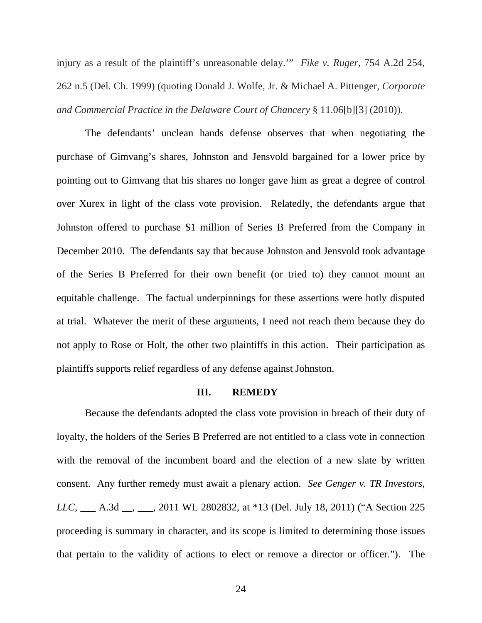injury as a result of the plaintiff's unreasonable delay.'" *Fike v. Ruger*, 754 A.2d 254, 262 n.5 (Del. Ch. 1999) (quoting Donald J. Wolfe, Jr. & Michael A. Pittenger, *Corporate and Commercial Practice in the Delaware Court of Chancery* § 11.06[b][3] (2010)).

The defendants' unclean hands defense observes that when negotiating the purchase of Gimvang's shares, Johnston and Jensvold bargained for a lower price by pointing out to Gimvang that his shares no longer gave him as great a degree of control over Xurex in light of the class vote provision. Relatedly, the defendants argue that Johnston offered to purchase \$1 million of Series B Preferred from the Company in December 2010. The defendants say that because Johnston and Jensvold took advantage of the Series B Preferred for their own benefit (or tried to) they cannot mount an equitable challenge. The factual underpinnings for these assertions were hotly disputed at trial. Whatever the merit of these arguments, I need not reach them because they do not apply to Rose or Holt, the other two plaintiffs in this action. Their participation as plaintiffs supports relief regardless of any defense against Johnston.

#### **III. REMEDY**

Because the defendants adopted the class vote provision in breach of their duty of loyalty, the holders of the Series B Preferred are not entitled to a class vote in connection with the removal of the incumbent board and the election of a new slate by written consent. Any further remedy must await a plenary action. *See Genger v. TR Investors, LLC*, \_\_\_ A.3d \_\_, \_\_\_, 2011 WL 2802832, at \*13 (Del. July 18, 2011) ("A Section 225 proceeding is summary in character, and its scope is limited to determining those issues that pertain to the validity of actions to elect or remove a director or officer."). The